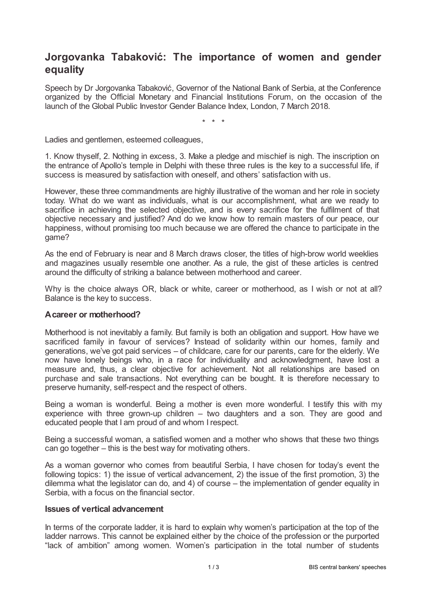# **Jorgovanka Tabaković: The importance of women and gender equality**

Speech by Dr Jorgovanka Tabaković, Governor of the National Bank of Serbia, at the Conference organized by the Official Monetary and Financial Institutions Forum, on the occasion of the launch of the Global Public Investor Gender Balance Index, London, 7 March 2018.

\* \* \*

Ladies and gentlemen, esteemed colleagues,

1. Know thyself, 2. Nothing in excess, 3. Make a pledge and mischief is nigh. The inscription on the entrance of Apollo's temple in Delphi with these three rules is the key to a successful life, if success is measured by satisfaction with oneself, and others' satisfaction with us.

However, these three commandments are highly illustrative of the woman and her role in society today. What do we want as individuals, what is our accomplishment, what are we ready to sacrifice in achieving the selected objective, and is every sacrifice for the fulfilment of that objective necessary and justified? And do we know how to remain masters of our peace, our happiness, without promising too much because we are offered the chance to participate in the game?

As the end of February is near and 8 March draws closer, the titles of high-brow world weeklies and magazines usually resemble one another. As a rule, the gist of these articles is centred around the difficulty of striking a balance between motherhood and career.

Why is the choice always OR, black or white, career or motherhood, as I wish or not at all? Balance is the key to success.

## **Acareer or motherhood?**

Motherhood is not inevitably a family. But family is both an obligation and support. How have we sacrificed family in favour of services? Instead of solidarity within our homes, family and generations, we've got paid services – of childcare, care for our parents, care for the elderly. We now have lonely beings who, in a race for individuality and acknowledgment, have lost a measure and, thus, a clear objective for achievement. Not all relationships are based on purchase and sale transactions. Not everything can be bought. It is therefore necessary to preserve humanity, self-respect and the respect of others.

Being a woman is wonderful. Being a mother is even more wonderful. I testify this with my experience with three grown-up children – two daughters and a son. They are good and educated people that I am proud of and whom I respect.

Being a successful woman, a satisfied women and a mother who shows that these two things can go together – this is the best way for motivating others.

As a woman governor who comes from beautiful Serbia, I have chosen for today's event the following topics: 1) the issue of vertical advancement, 2) the issue of the first promotion, 3) the dilemma what the legislator can do, and 4) of course – the implementation of gender equality in Serbia, with a focus on the financial sector.

#### **Issues of vertical advancement**

In terms of the corporate ladder, it is hard to explain why women's participation at the top of the ladder narrows. This cannot be explained either by the choice of the profession or the purported "lack of ambition" among women. Women's participation in the total number of students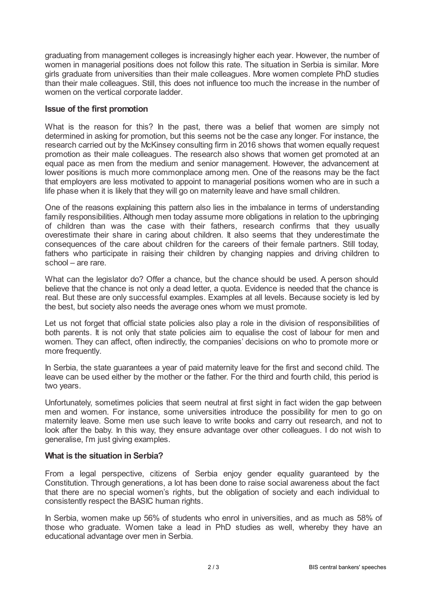graduating from management colleges is increasingly higher each year. However, the number of women in managerial positions does not follow this rate. The situation in Serbia is similar. More girls graduate from universities than their male colleagues. More women complete PhD studies than their male colleagues. Still, this does not influence too much the increase in the number of women on the vertical corporate ladder.

## **Issue of the first promotion**

What is the reason for this? In the past, there was a belief that women are simply not determined in asking for promotion, but this seems not be the case any longer. For instance, the research carried out by the McKinsey consulting firm in 2016 shows that women equally request promotion as their male colleagues. The research also shows that women get promoted at an equal pace as men from the medium and senior management. However, the advancement at lower positions is much more commonplace among men. One of the reasons may be the fact that employers are less motivated to appoint to managerial positions women who are in such a life phase when it is likely that they will go on maternity leave and have small children.

One of the reasons explaining this pattern also lies in the imbalance in terms of understanding family responsibilities. Although men today assume more obligations in relation to the upbringing of children than was the case with their fathers, research confirms that they usually overestimate their share in caring about children. It also seems that they underestimate the consequences of the care about children for the careers of their female partners. Still today, fathers who participate in raising their children by changing nappies and driving children to school – are rare.

What can the legislator do? Offer a chance, but the chance should be used. A person should believe that the chance is not only a dead letter, a quota. Evidence is needed that the chance is real. But these are only successful examples. Examples at all levels. Because society is led by the best, but society also needs the average ones whom we must promote.

Let us not forget that official state policies also play a role in the division of responsibilities of both parents. It is not only that state policies aim to equalise the cost of labour for men and women. They can affect, often indirectly, the companies' decisions on who to promote more or more frequently.

In Serbia, the state guarantees a year of paid maternity leave for the first and second child. The leave can be used either by the mother or the father. For the third and fourth child, this period is two years.

Unfortunately, sometimes policies that seem neutral at first sight in fact widen the gap between men and women. For instance, some universities introduce the possibility for men to go on maternity leave. Some men use such leave to write books and carry out research, and not to look after the baby. In this way, they ensure advantage over other colleagues. I do not wish to generalise, I'm just giving examples.

## **What is the situation in Serbia?**

From a legal perspective, citizens of Serbia enjoy gender equality guaranteed by the Constitution. Through generations, a lot has been done to raise social awareness about the fact that there are no special women's rights, but the obligation of society and each individual to consistently respect the BASIC human rights.

In Serbia, women make up 56% of students who enrol in universities, and as much as 58% of those who graduate. Women take a lead in PhD studies as well, whereby they have an educational advantage over men in Serbia.